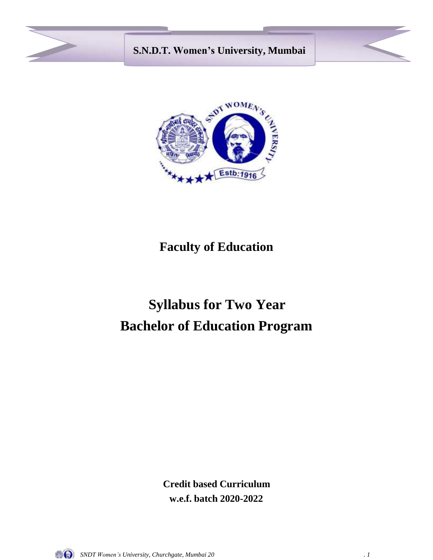



# **Faculty of Education**

# **Syllabus for Two Year Bachelor of Education Program**

**Credit based Curriculum w.e.f. batch 2020-2022**

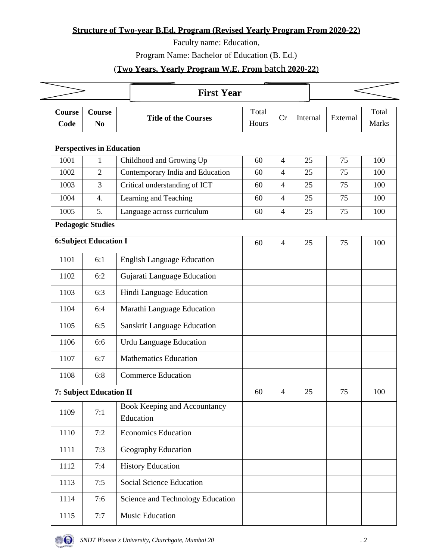## **Structure of Two-year B.Ed. Program (Revised Yearly Program From 2020-22)**

Faculty name: Education,

Program Name: Bachelor of Education (B. Ed.)

# (**Two Years, Yearly Program W.E. From** batch **2020-22**)

|                                  |                                 | <b>First Year</b>                         |                |                |          |          |                |  |
|----------------------------------|---------------------------------|-------------------------------------------|----------------|----------------|----------|----------|----------------|--|
| Course<br>Code                   | <b>Course</b><br>N <sub>0</sub> | <b>Title of the Courses</b>               | Total<br>Hours | Cr             | Internal | External | Total<br>Marks |  |
| <b>Perspectives in Education</b> |                                 |                                           |                |                |          |          |                |  |
| 1001                             | $\mathbf{1}$                    | Childhood and Growing Up                  | 60             | $\overline{4}$ | 25       | 75       | 100            |  |
| 1002                             | $\overline{2}$                  | Contemporary India and Education          | 60             | 4              | 25       | 75       | 100            |  |
| 1003                             | 3                               | Critical understanding of ICT             | 60             | 4              | 25       | 75       | 100            |  |
| 1004                             | $\overline{4}$ .                | Learning and Teaching                     | 60             | $\overline{4}$ | 25       | 75       | 100            |  |
| 1005                             | 5.                              | Language across curriculum                | 60             | $\overline{4}$ | 25       | 75       | 100            |  |
|                                  | <b>Pedagogic Studies</b>        |                                           |                |                |          |          |                |  |
| <b>6:Subject Education I</b>     |                                 | 60                                        | $\overline{4}$ | 25             | 75       | 100      |                |  |
| 1101                             | 6:1                             | <b>English Language Education</b>         |                |                |          |          |                |  |
| 1102                             | 6:2                             | Gujarati Language Education               |                |                |          |          |                |  |
| 1103                             | 6:3                             | Hindi Language Education                  |                |                |          |          |                |  |
| 1104                             | 6:4                             | Marathi Language Education                |                |                |          |          |                |  |
| 1105                             | 6:5                             | <b>Sanskrit Language Education</b>        |                |                |          |          |                |  |
| 1106                             | 6:6                             | <b>Urdu Language Education</b>            |                |                |          |          |                |  |
| 1107                             | 6:7                             | <b>Mathematics Education</b>              |                |                |          |          |                |  |
| 1108                             | 6:8                             | <b>Commerce Education</b>                 |                |                |          |          |                |  |
| 7: Subject Education II          |                                 |                                           | 60             | 4              | 25       | 75       | 100            |  |
| 1109                             | 7:1                             | Book Keeping and Accountancy<br>Education |                |                |          |          |                |  |
| 1110                             | 7:2                             | <b>Economics Education</b>                |                |                |          |          |                |  |
| 1111                             | 7:3                             | Geography Education                       |                |                |          |          |                |  |
| 1112                             | 7:4                             | <b>History Education</b>                  |                |                |          |          |                |  |
| 1113                             | 7:5                             | Social Science Education                  |                |                |          |          |                |  |
| 1114                             | 7:6                             | Science and Technology Education          |                |                |          |          |                |  |
| 1115                             | 7:7                             | Music Education                           |                |                |          |          |                |  |

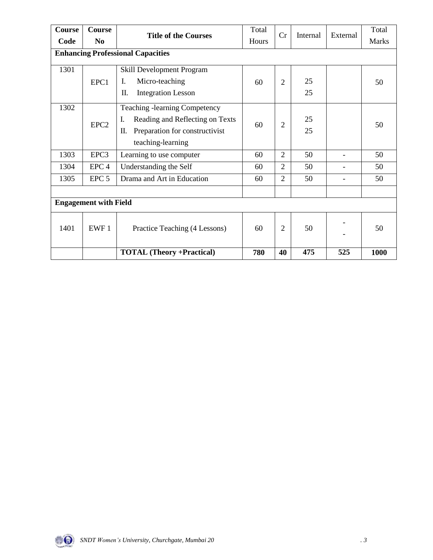| <b>Course</b>                | Course                                   | <b>Title of the Courses</b>           | Total | Cr             | Internal | External | Total        |
|------------------------------|------------------------------------------|---------------------------------------|-------|----------------|----------|----------|--------------|
| Code                         | N <sub>0</sub>                           |                                       | Hours |                |          |          | <b>Marks</b> |
|                              | <b>Enhancing Professional Capacities</b> |                                       |       |                |          |          |              |
| 1301                         |                                          | Skill Development Program             |       |                |          |          |              |
|                              | EPC1                                     | Micro-teaching<br>I.                  | 60    | 2              | 25       |          | 50           |
|                              |                                          | <b>Integration Lesson</b><br>П.       |       |                | 25       |          |              |
| 1302                         |                                          | <b>Teaching -learning Competency</b>  |       |                |          |          |              |
|                              | EPC <sub>2</sub>                         | Reading and Reflecting on Texts<br>I. | 60    | $\overline{2}$ | 25       |          | 50           |
|                              |                                          | Preparation for constructivist<br>П.  |       |                | 25       |          |              |
|                              |                                          | teaching-learning                     |       |                |          |          |              |
| 1303                         | EPC3                                     | Learning to use computer              | 60    | $\overline{2}$ | 50       |          | 50           |
| 1304                         | EPC <sub>4</sub>                         | Understanding the Self                | 60    | $\overline{2}$ | 50       |          | 50           |
| 1305                         | EPC <sub>5</sub>                         | Drama and Art in Education            | 60    | $\overline{2}$ | 50       |          | 50           |
|                              |                                          |                                       |       |                |          |          |              |
| <b>Engagement with Field</b> |                                          |                                       |       |                |          |          |              |
| 1401                         | EWF1                                     | Practice Teaching (4 Lessons)         | 60    | $\overline{2}$ | 50       |          | 50           |
|                              |                                          | <b>TOTAL (Theory +Practical)</b>      | 780   | 40             | 475      | 525      | 1000         |

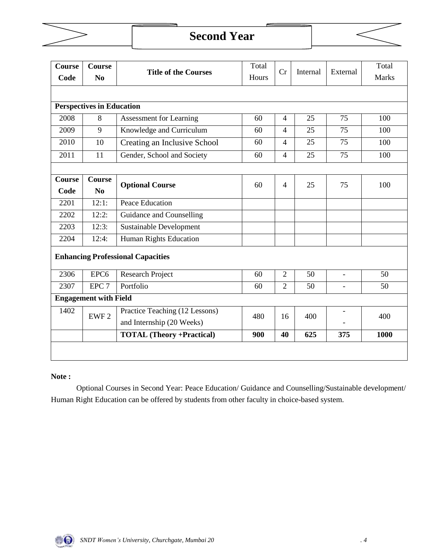

# **Second Year**



| <b>Course</b>                            | <b>Course</b>                    |                                  | Total |                | Internal | External                 | Total        |
|------------------------------------------|----------------------------------|----------------------------------|-------|----------------|----------|--------------------------|--------------|
| Code                                     | N <sub>0</sub>                   | <b>Title of the Courses</b>      | Hours | Cr             |          |                          | <b>Marks</b> |
|                                          |                                  |                                  |       |                |          |                          |              |
|                                          | <b>Perspectives in Education</b> |                                  |       |                |          |                          |              |
| 2008                                     | 8                                | <b>Assessment for Learning</b>   | 60    | $\overline{4}$ | 25       | 75                       | 100          |
| 2009                                     | 9                                | Knowledge and Curriculum         | 60    | $\overline{4}$ | 25       | 75                       | 100          |
| 2010                                     | 10                               | Creating an Inclusive School     | 60    | $\overline{4}$ | 25       | 75                       | 100          |
| 2011                                     | 11                               | Gender, School and Society       | 60    | $\overline{4}$ | 25       | 75                       | 100          |
|                                          |                                  |                                  |       |                |          |                          |              |
| <b>Course</b>                            | <b>Course</b>                    | <b>Optional Course</b>           | 60    | $\overline{4}$ | 25       | 75                       | 100          |
| Code                                     | N <sub>0</sub>                   |                                  |       |                |          |                          |              |
| 2201                                     | 12:1:                            | Peace Education                  |       |                |          |                          |              |
| 2202                                     | 12:2:                            | Guidance and Counselling         |       |                |          |                          |              |
| 2203                                     | 12:3:                            | <b>Sustainable Development</b>   |       |                |          |                          |              |
| 2204                                     | 12:4:                            | Human Rights Education           |       |                |          |                          |              |
| <b>Enhancing Professional Capacities</b> |                                  |                                  |       |                |          |                          |              |
|                                          |                                  |                                  |       |                |          |                          |              |
| 2306                                     | EPC <sub>6</sub>                 | <b>Research Project</b>          | 60    | $\overline{2}$ | 50       | $\blacksquare$           | 50           |
| 2307                                     | EPC <sub>7</sub>                 | Portfolio                        | 60    | $\overline{2}$ | 50       | $\blacksquare$           | 50           |
| <b>Engagement with Field</b>             |                                  |                                  |       |                |          |                          |              |
| 1402                                     | EWF <sub>2</sub>                 | Practice Teaching (12 Lessons)   | 480   | 16             | 400      | $\overline{\phantom{a}}$ | 400          |
|                                          |                                  | and Internship (20 Weeks)        |       |                |          |                          |              |
|                                          |                                  | <b>TOTAL</b> (Theory +Practical) | 900   | 40             | 625      | 375                      | 1000         |
|                                          |                                  |                                  |       |                |          |                          |              |
|                                          |                                  |                                  |       |                |          |                          |              |

#### **Note :**

Optional Courses in Second Year: Peace Education/ Guidance and Counselling/Sustainable development/ Human Right Education can be offered by students from other faculty in choice-based system.

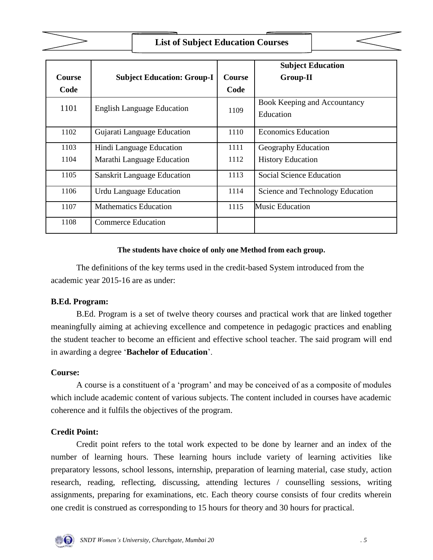

# **List of Subject Education Courses**

|               |                                    |               | <b>Subject Education</b>         |
|---------------|------------------------------------|---------------|----------------------------------|
| <b>Course</b> | <b>Subject Education: Group-I</b>  | <b>Course</b> | <b>Group-II</b>                  |
| Code          |                                    | Code          |                                  |
| 1101          | <b>English Language Education</b>  | 1109          | Book Keeping and Accountancy     |
|               |                                    |               | Education                        |
| 1102          | Gujarati Language Education        | 1110          | <b>Economics Education</b>       |
| 1103          | Hindi Language Education           | 1111          | Geography Education              |
| 1104          | Marathi Language Education         | 1112          | <b>History Education</b>         |
| 1105          | <b>Sanskrit Language Education</b> | 1113          | Social Science Education         |
| 1106          | Urdu Language Education            | 1114          | Science and Technology Education |
| 1107          | <b>Mathematics Education</b>       | 1115          | <b>Music Education</b>           |
| 1108          | <b>Commerce Education</b>          |               |                                  |

#### **The students have choice of only one Method from each group.**

The definitions of the key terms used in the credit-based System introduced from the academic year 2015-16 are as under:

#### **B.Ed. Program:**

B.Ed. Program is a set of twelve theory courses and practical work that are linked together meaningfully aiming at achieving excellence and competence in pedagogic practices and enabling the student teacher to become an efficient and effective school teacher. The said program will end in awarding a degree '**Bachelor of Education**'.

#### **Course:**

A course is a constituent of a 'program' and may be conceived of as a composite of modules which include academic content of various subjects. The content included in courses have academic coherence and it fulfils the objectives of the program.

## **Credit Point:**

Credit point refers to the total work expected to be done by learner and an index of the number of learning hours. These learning hours include variety of learning activities like preparatory lessons, school lessons, internship, preparation of learning material, case study, action research, reading, reflecting, discussing, attending lectures / counselling sessions, writing assignments, preparing for examinations, etc. Each theory course consists of four credits wherein one credit is construed as corresponding to 15 hours for theory and 30 hours for practical.

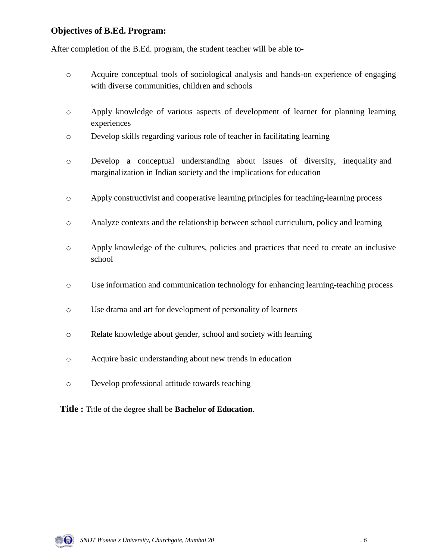## **Objectives of B.Ed. Program:**

After completion of the B.Ed. program, the student teacher will be able to-

- o Acquire conceptual tools of sociological analysis and hands-on experience of engaging with diverse communities, children and schools
- o Apply knowledge of various aspects of development of learner for planning learning experiences
- o Develop skills regarding various role of teacher in facilitating learning
- o Develop a conceptual understanding about issues of diversity, inequality and marginalization in Indian society and the implications for education
- o Apply constructivist and cooperative learning principles for teaching-learning process
- o Analyze contexts and the relationship between school curriculum, policy and learning
- o Apply knowledge of the cultures, policies and practices that need to create an inclusive school
- o Use information and communication technology for enhancing learning-teaching process
- o Use drama and art for development of personality of learners
- o Relate knowledge about gender, school and society with learning
- o Acquire basic understanding about new trends in education
- o Develop professional attitude towards teaching
- **Title :** Title of the degree shall be **Bachelor of Education**.

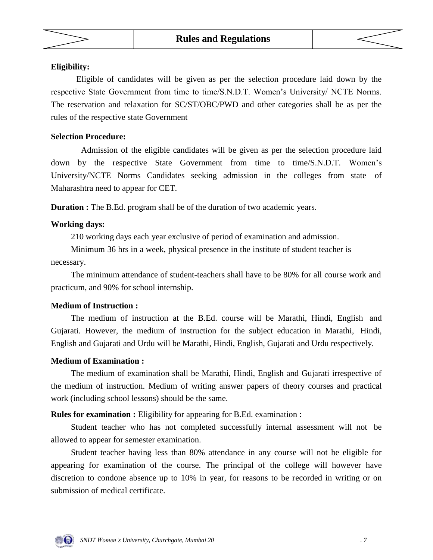



#### **Eligibility:**

Eligible of candidates will be given as per the selection procedure laid down by the respective State Government from time to time/S.N.D.T. Women's University/ NCTE Norms. The reservation and relaxation for SC/ST/OBC/PWD and other categories shall be as per the rules of the respective state Government

#### **Selection Procedure:**

Admission of the eligible candidates will be given as per the selection procedure laid down by the respective State Government from time to time/S.N.D.T. Women's University/NCTE Norms Candidates seeking admission in the colleges from state of Maharashtra need to appear for CET.

**Duration :** The B.Ed. program shall be of the duration of two academic years.

#### **Working days:**

210 working days each year exclusive of period of examination and admission.

Minimum 36 hrs in a week, physical presence in the institute of student teacher is necessary.

The minimum attendance of student-teachers shall have to be 80% for all course work and practicum, and 90% for school internship.

#### **Medium of Instruction :**

The medium of instruction at the B.Ed. course will be Marathi, Hindi, English and Gujarati. However, the medium of instruction for the subject education in Marathi, Hindi, English and Gujarati and Urdu will be Marathi, Hindi, English, Gujarati and Urdu respectively.

#### **Medium of Examination :**

The medium of examination shall be Marathi, Hindi, English and Gujarati irrespective of the medium of instruction. Medium of writing answer papers of theory courses and practical work (including school lessons) should be the same.

**Rules for examination :** Eligibility for appearing for B.Ed. examination :

Student teacher who has not completed successfully internal assessment will not be allowed to appear for semester examination.

Student teacher having less than 80% attendance in any course will not be eligible for appearing for examination of the course. The principal of the college will however have discretion to condone absence up to 10% in year, for reasons to be recorded in writing or on submission of medical certificate.

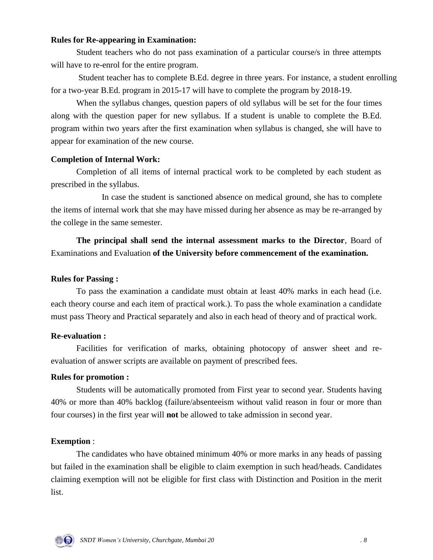#### **Rules for Re-appearing in Examination:**

Student teachers who do not pass examination of a particular course/s in three attempts will have to re-enrol for the entire program.

Student teacher has to complete B.Ed. degree in three years. For instance, a student enrolling for a two-year B.Ed. program in 2015-17 will have to complete the program by 2018-19.

When the syllabus changes, question papers of old syllabus will be set for the four times along with the question paper for new syllabus. If a student is unable to complete the B.Ed. program within two years after the first examination when syllabus is changed, she will have to appear for examination of the new course.

#### **Completion of Internal Work:**

Completion of all items of internal practical work to be completed by each student as prescribed in the syllabus.

In case the student is sanctioned absence on medical ground, she has to complete the items of internal work that she may have missed during her absence as may be re-arranged by the college in the same semester.

**The principal shall send the internal assessment marks to the Director**, Board of Examinations and Evaluation **of the University before commencement of the examination.**

#### **Rules for Passing :**

To pass the examination a candidate must obtain at least 40% marks in each head (i.e. each theory course and each item of practical work.). To pass the whole examination a candidate must pass Theory and Practical separately and also in each head of theory and of practical work.

#### **Re-evaluation :**

Facilities for verification of marks, obtaining photocopy of answer sheet and reevaluation of answer scripts are available on payment of prescribed fees.

#### **Rules for promotion :**

Students will be automatically promoted from First year to second year. Students having 40% or more than 40% backlog (failure/absenteeism without valid reason in four or more than four courses) in the first year will **not** be allowed to take admission in second year.

#### **Exemption** :

The candidates who have obtained minimum 40% or more marks in any heads of passing but failed in the examination shall be eligible to claim exemption in such head/heads. Candidates claiming exemption will not be eligible for first class with Distinction and Position in the merit list.